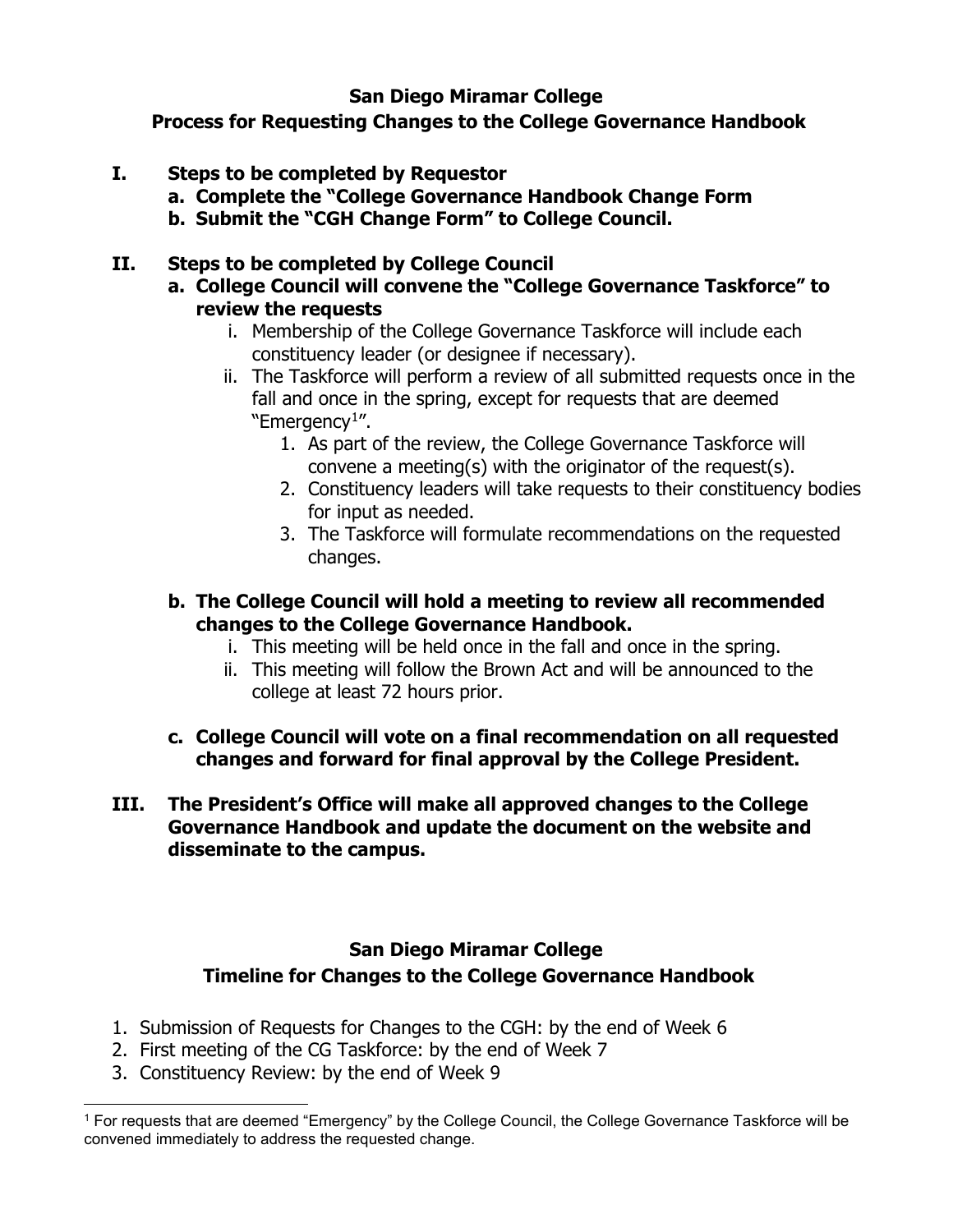## **San Diego Miramar College**

**Process for Requesting Changes to the College Governance Handbook**

- **I. Steps to be completed by Requestor**
	- **a. Complete the "College Governance Handbook Change Form**
	- **b. Submit the "CGH Change Form" to College Council.**

## **II. Steps to be completed by College Council**

- **a. College Council will convene the "College Governance Taskforce" to review the requests**
	- i. Membership of the College Governance Taskforce will include each constituency leader (or designee if necessary).
	- ii. The Taskforce will perform a review of all submitted requests once in the fall and once in the spring, except for requests that are deemed  $"Emeraency<sup>1</sup>".$  $"Emeraency<sup>1</sup>".$  $"Emeraency<sup>1</sup>".$ 
		- 1. As part of the review, the College Governance Taskforce will convene a meeting(s) with the originator of the request(s).
		- 2. Constituency leaders will take requests to their constituency bodies for input as needed.
		- 3. The Taskforce will formulate recommendations on the requested changes.
- **b. The College Council will hold a meeting to review all recommended changes to the College Governance Handbook.**
	- i. This meeting will be held once in the fall and once in the spring.
	- ii. This meeting will follow the Brown Act and will be announced to the college at least 72 hours prior.
- **c. College Council will vote on a final recommendation on all requested changes and forward for final approval by the College President.**
- **III. The President's Office will make all approved changes to the College Governance Handbook and update the document on the website and disseminate to the campus.**

## **San Diego Miramar College Timeline for Changes to the College Governance Handbook**

- 1. Submission of Requests for Changes to the CGH: by the end of Week 6
- 2. First meeting of the CG Taskforce: by the end of Week 7
- 3. Constituency Review: by the end of Week 9

<span id="page-0-0"></span><sup>&</sup>lt;sup>1</sup> For requests that are deemed "Emergency" by the College Council, the College Governance Taskforce will be convened immediately to address the requested change.